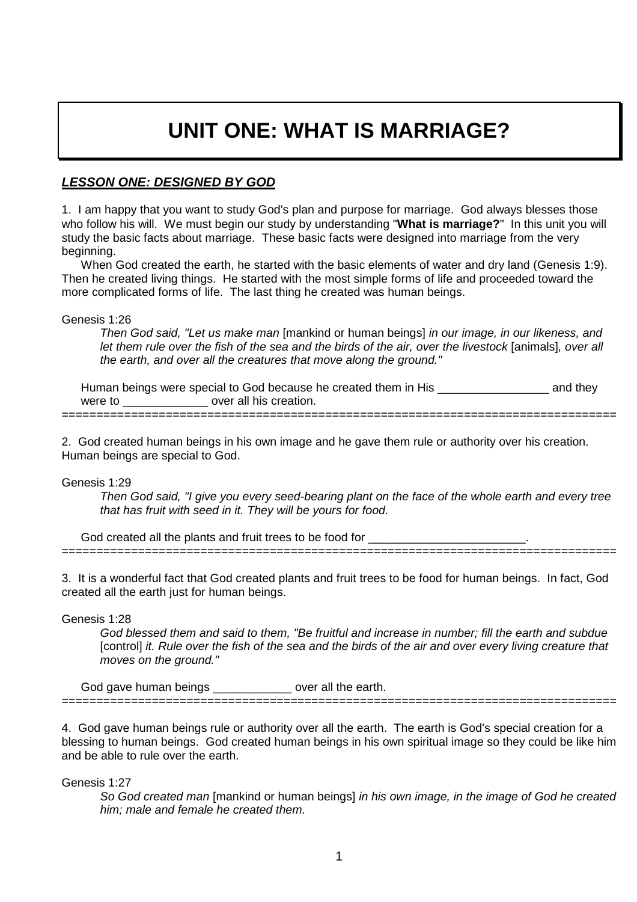# **UNIT ONE: WHAT IS MARRIAGE?**

### **LESSON ONE: DESIGNED BY GOD**

1. I am happy that you want to study God's plan and purpose for marriage. God always blesses those who follow his will. We must begin our study by understanding "**What is marriage?**" In this unit you will study the basic facts about marriage. These basic facts were designed into marriage from the very beginning.

When God created the earth, he started with the basic elements of water and dry land (Genesis 1:9). Then he created living things. He started with the most simple forms of life and proceeded toward the more complicated forms of life. The last thing he created was human beings.

Genesis 1:26

Then God said, "Let us make man [mankind or human beings] in our image, in our likeness, and let them rule over the fish of the sea and the birds of the air, over the livestock [animals], over all the earth, and over all the creatures that move along the ground."

Human beings were special to God because he created them in His \_\_\_\_\_\_\_\_\_\_\_\_\_\_\_\_\_ and they were to **we conserve that the set of the set over all his creation.** ================================================================================

2. God created human beings in his own image and he gave them rule or authority over his creation. Human beings are special to God.

Genesis 1:29

Then God said, "I give you every seed-bearing plant on the face of the whole earth and every tree that has fruit with seed in it. They will be yours for food.

God created all the plants and fruit trees to be food for ================================================================================

3. It is a wonderful fact that God created plants and fruit trees to be food for human beings. In fact, God created all the earth just for human beings.

Genesis 1:28

God blessed them and said to them, "Be fruitful and increase in number; fill the earth and subdue [control] it. Rule over the fish of the sea and the birds of the air and over every living creature that moves on the ground."

God gave human beings \_\_\_\_\_\_\_\_\_\_\_\_\_\_ over all the earth. ================================================================================

4. God gave human beings rule or authority over all the earth. The earth is God's special creation for a blessing to human beings. God created human beings in his own spiritual image so they could be like him and be able to rule over the earth.

Genesis 1:27

So God created man [mankind or human beings] in his own image, in the image of God he created him; male and female he created them.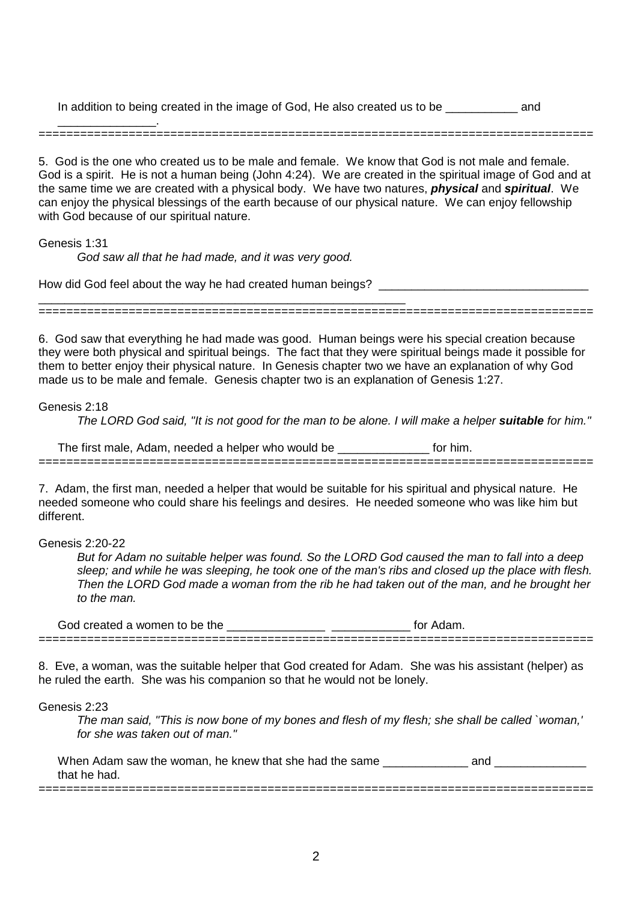In addition to being created in the image of God, He also created us to be \_\_\_\_\_\_\_\_\_\_\_ and

\_\_\_\_\_\_\_\_\_\_\_\_\_\_\_. ================================================================================

5. God is the one who created us to be male and female. We know that God is not male and female. God is a spirit. He is not a human being (John 4:24). We are created in the spiritual image of God and at the same time we are created with a physical body. We have two natures, **physical** and **spiritual**. We can enjoy the physical blessings of the earth because of our physical nature. We can enjoy fellowship with God because of our spiritual nature.

#### Genesis 1:31

God saw all that he had made, and it was very good.

\_\_\_\_\_\_\_\_\_\_\_\_\_\_\_\_\_\_\_\_\_\_\_\_\_\_\_\_\_\_\_\_\_\_\_\_\_\_\_\_\_\_\_\_\_\_\_\_\_\_\_\_\_\_\_\_

How did God feel about the way he had created human beings? \_\_\_\_\_\_\_\_\_\_\_\_\_\_\_\_\_\_\_\_

6. God saw that everything he had made was good. Human beings were his special creation because

================================================================================

they were both physical and spiritual beings. The fact that they were spiritual beings made it possible for them to better enjoy their physical nature. In Genesis chapter two we have an explanation of why God made us to be male and female. Genesis chapter two is an explanation of Genesis 1:27.

Genesis 2:18

The LORD God said, "It is not good for the man to be alone. I will make a helper **suitable** for him."

| he<br>needed a helper who y<br>tırst<br>male.<br>Adam<br>be<br>would |       |
|----------------------------------------------------------------------|-------|
| ____________________________<br>_____                                | _____ |

7. Adam, the first man, needed a helper that would be suitable for his spiritual and physical nature. He needed someone who could share his feelings and desires. He needed someone who was like him but different.

Genesis 2:20-22

But for Adam no suitable helper was found. So the LORD God caused the man to fall into a deep sleep; and while he was sleeping, he took one of the man's ribs and closed up the place with flesh. Then the LORD God made a woman from the rib he had taken out of the man, and he brought her to the man.

God created a women to be the \_\_\_\_\_\_\_\_\_\_\_\_\_\_\_ \_\_\_\_\_\_\_\_\_\_\_\_ for Adam. ================================================================================

8. Eve, a woman, was the suitable helper that God created for Adam. She was his assistant (helper) as he ruled the earth. She was his companion so that he would not be lonely.

Genesis 2:23

The man said, "This is now bone of my bones and flesh of my flesh; she shall be called `woman,' for she was taken out of man."

When Adam saw the woman, he knew that she had the same \_\_\_\_\_\_\_\_\_\_\_\_\_ and \_\_\_\_\_\_\_\_\_\_\_\_\_\_ that he had.

================================================================================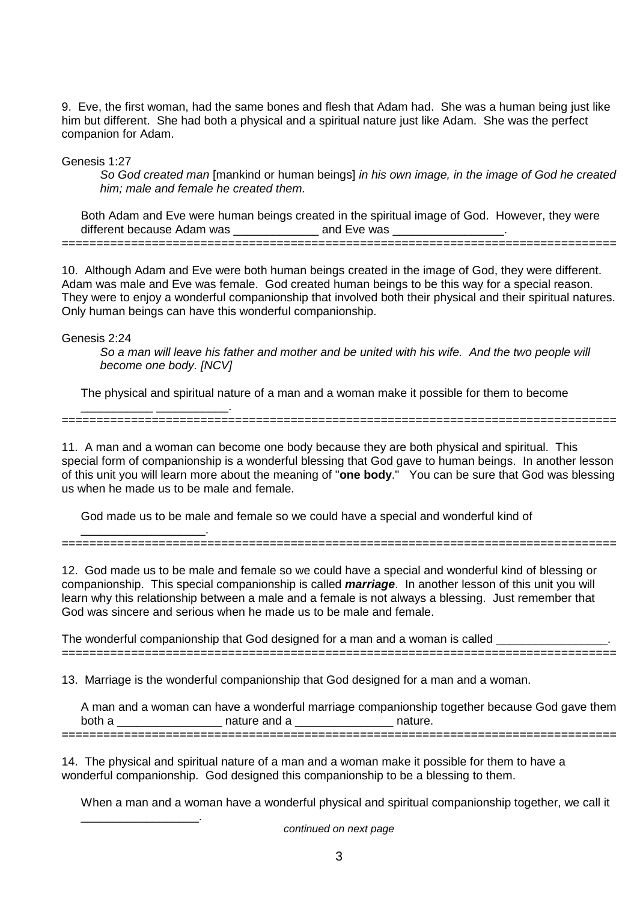9. Eve, the first woman, had the same bones and flesh that Adam had. She was a human being just like him but different. She had both a physical and a spiritual nature just like Adam. She was the perfect companion for Adam.

Genesis 1:27

So God created man [mankind or human beings] in his own image, in the image of God he created him; male and female he created them.

Both Adam and Eve were human beings created in the spiritual image of God. However, they were different because Adam was **Example 20** and Eve was

================================================================================

10. Although Adam and Eve were both human beings created in the image of God, they were different. Adam was male and Eve was female. God created human beings to be this way for a special reason. They were to enjoy a wonderful companionship that involved both their physical and their spiritual natures. Only human beings can have this wonderful companionship.

Genesis 2:24

\_\_\_\_\_\_\_\_\_\_\_ \_\_\_\_\_\_\_\_\_\_\_.

\_\_\_\_\_\_\_\_\_\_\_\_\_\_\_\_\_\_.

So a man will leave his father and mother and be united with his wife. And the two people will become one body. [NCV]

The physical and spiritual nature of a man and a woman make it possible for them to become

11. A man and a woman can become one body because they are both physical and spiritual. This special form of companionship is a wonderful blessing that God gave to human beings. In another lesson of this unit you will learn more about the meaning of "**one body**." You can be sure that God was blessing us when he made us to be male and female.

================================================================================

God made us to be male and female so we could have a special and wonderful kind of

\_\_\_\_\_\_\_\_\_\_\_\_\_\_\_\_\_\_\_. ================================================================================

12. God made us to be male and female so we could have a special and wonderful kind of blessing or companionship. This special companionship is called **marriage**. In another lesson of this unit you will learn why this relationship between a male and a female is not always a blessing. Just remember that God was sincere and serious when he made us to be male and female.

The wonderful companionship that God designed for a man and a woman is called ================================================================================

13. Marriage is the wonderful companionship that God designed for a man and a woman.

|        | A man and a woman can have a wonderful marriage companionship together because God gave them |         |  |
|--------|----------------------------------------------------------------------------------------------|---------|--|
| both a | nature and a                                                                                 | nature. |  |
|        |                                                                                              |         |  |

14. The physical and spiritual nature of a man and a woman make it possible for them to have a wonderful companionship. God designed this companionship to be a blessing to them.

When a man and a woman have a wonderful physical and spiritual companionship together, we call it

continued on next page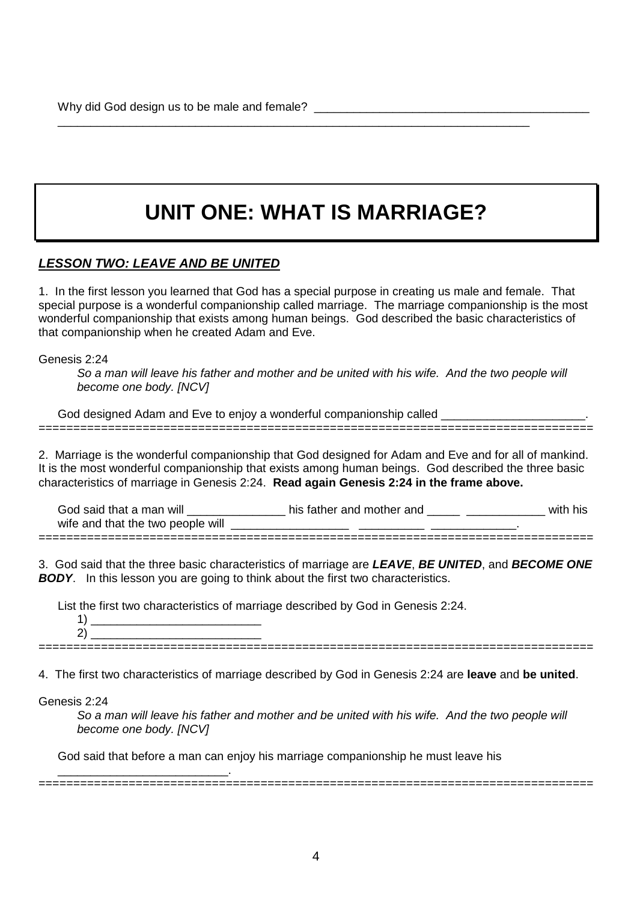# **UNIT ONE: WHAT IS MARRIAGE?**

\_\_\_\_\_\_\_\_\_\_\_\_\_\_\_\_\_\_\_\_\_\_\_\_\_\_\_\_\_\_\_\_\_\_\_\_\_\_\_\_\_\_\_\_\_\_\_\_\_\_\_\_\_\_\_\_\_\_\_\_\_\_\_\_\_\_\_\_\_\_\_\_

### **LESSON TWO: LEAVE AND BE UNITED**

1. In the first lesson you learned that God has a special purpose in creating us male and female. That special purpose is a wonderful companionship called marriage. The marriage companionship is the most wonderful companionship that exists among human beings. God described the basic characteristics of that companionship when he created Adam and Eve.

Genesis 2:24

So a man will leave his father and mother and be united with his wife. And the two people will become one body. [NCV]

God designed Adam and Eve to enjoy a wonderful companionship called

2. Marriage is the wonderful companionship that God designed for Adam and Eve and for all of mankind. It is the most wonderful companionship that exists among human beings. God described the three basic characteristics of marriage in Genesis 2:24. **Read again Genesis 2:24 in the frame above.**

================================================================================

God said that a man will \_\_\_\_\_\_\_\_\_\_\_\_\_\_\_\_\_\_ his father and mother and \_\_\_\_\_\_ \_\_\_\_\_\_\_\_\_\_\_\_\_\_\_\_ with his wife and that the two people will \_\_\_\_\_\_\_\_\_\_\_\_\_\_\_\_\_\_ \_\_\_\_\_\_\_\_\_\_ \_\_\_\_\_\_\_\_\_\_\_\_\_.

================================================================================

3. God said that the three basic characteristics of marriage are **LEAVE**, **BE UNITED**, and **BECOME ONE BODY.** In this lesson you are going to think about the first two characteristics.

List the first two characteristics of marriage described by God in Genesis 2:24.

1)  $2)$ 

\_\_\_\_\_\_\_\_\_\_\_\_\_\_\_\_\_\_\_\_\_\_\_\_\_\_.

================================================================================

4. The first two characteristics of marriage described by God in Genesis 2:24 are **leave** and **be united**.

Genesis 2:24

So a man will leave his father and mother and be united with his wife. And the two people will become one body. [NCV]

================================================================================

God said that before a man can enjoy his marriage companionship he must leave his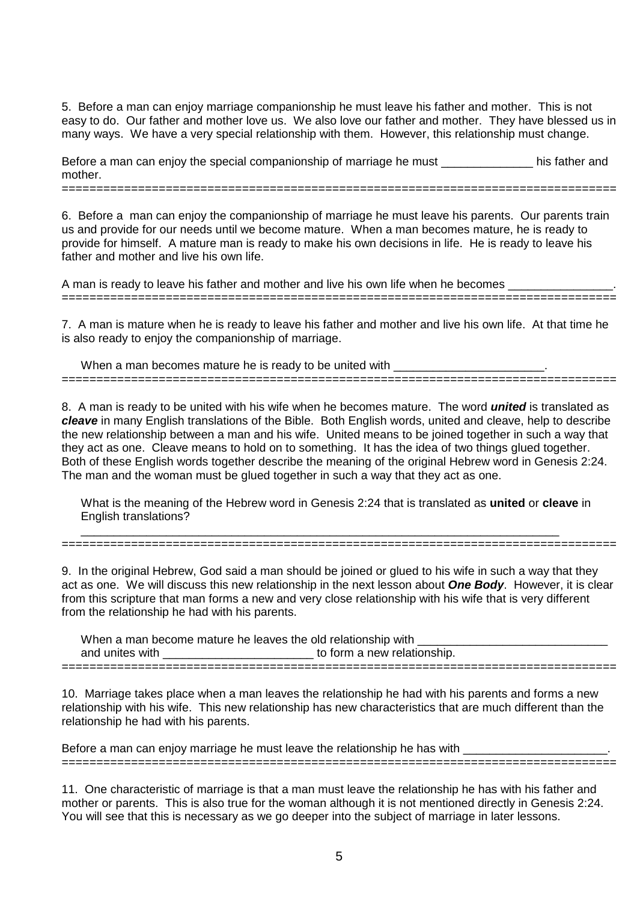5. Before a man can enjoy marriage companionship he must leave his father and mother. This is not easy to do. Our father and mother love us. We also love our father and mother. They have blessed us in many ways. We have a very special relationship with them. However, this relationship must change.

Before a man can enjoy the special companionship of marriage he must \_\_\_\_\_\_\_\_\_\_\_\_\_\_\_\_\_ his father and mother. ================================================================================

6. Before a man can enjoy the companionship of marriage he must leave his parents. Our parents train us and provide for our needs until we become mature. When a man becomes mature, he is ready to provide for himself. A mature man is ready to make his own decisions in life. He is ready to leave his

A man is ready to leave his father and mother and live his own life when he becomes

father and mother and live his own life.

================================================================================

7. A man is mature when he is ready to leave his father and mother and live his own life. At that time he is also ready to enjoy the companionship of marriage.

When a man becomes mature he is ready to be united with ================================================================================

8. A man is ready to be united with his wife when he becomes mature. The word **united** is translated as **cleave** in many English translations of the Bible. Both English words, united and cleave, help to describe the new relationship between a man and his wife. United means to be joined together in such a way that they act as one. Cleave means to hold on to something. It has the idea of two things glued together. Both of these English words together describe the meaning of the original Hebrew word in Genesis 2:24. The man and the woman must be glued together in such a way that they act as one.

What is the meaning of the Hebrew word in Genesis 2:24 that is translated as **united** or **cleave** in English translations?

================================================================================

\_\_\_\_\_\_\_\_\_\_\_\_\_\_\_\_\_\_\_\_\_\_\_\_\_\_\_\_\_\_\_\_\_\_\_\_\_\_\_\_\_\_\_\_\_\_\_\_\_\_\_\_\_\_\_\_\_\_\_\_\_\_\_\_\_\_\_\_\_\_\_\_\_

9. In the original Hebrew, God said a man should be joined or glued to his wife in such a way that they act as one. We will discuss this new relationship in the next lesson about **One Body**. However, it is clear from this scripture that man forms a new and very close relationship with his wife that is very different from the relationship he had with his parents.

When a man become mature he leaves the old relationship with and unites with  $\qquad \qquad$  to form a new relationship. ================================================================================

10. Marriage takes place when a man leaves the relationship he had with his parents and forms a new relationship with his wife. This new relationship has new characteristics that are much different than the relationship he had with his parents.

Before a man can enjoy marriage he must leave the relationship he has with ================================================================================

11. One characteristic of marriage is that a man must leave the relationship he has with his father and mother or parents. This is also true for the woman although it is not mentioned directly in Genesis 2:24. You will see that this is necessary as we go deeper into the subject of marriage in later lessons.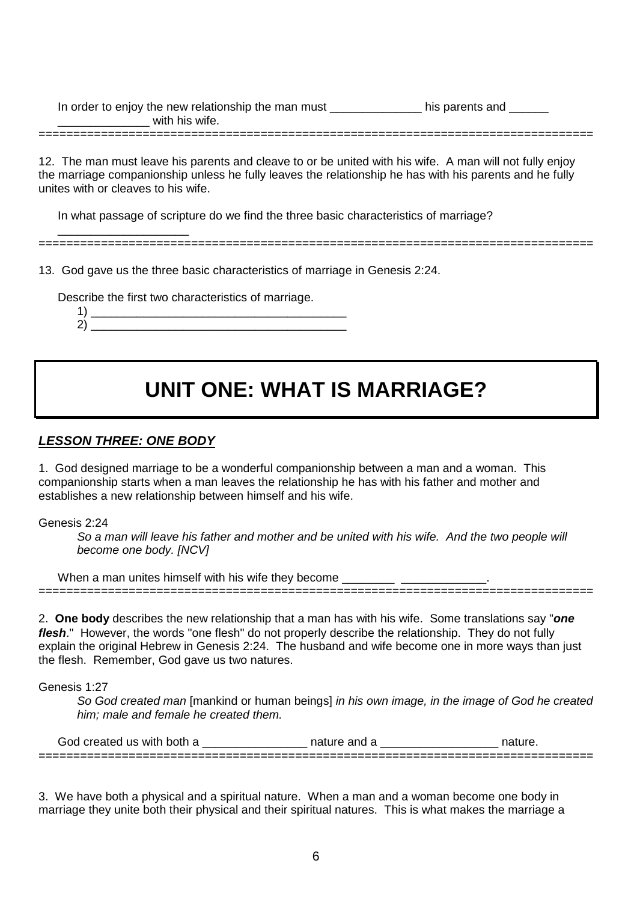In order to enjoy the new relationship the man must \_\_\_\_\_\_\_\_\_\_\_\_\_\_\_\_\_\_\_\_\_\_ his parents and \_\_\_\_\_\_\_ with his wife. ================================================================================

12. The man must leave his parents and cleave to or be united with his wife. A man will not fully enjoy the marriage companionship unless he fully leaves the relationship he has with his parents and he fully unites with or cleaves to his wife.

In what passage of scripture do we find the three basic characteristics of marriage?

\_\_\_\_\_\_\_\_\_\_\_\_\_\_\_\_\_\_\_\_ ================================================================================

13. God gave us the three basic characteristics of marriage in Genesis 2:24.

Describe the first two characteristics of marriage.

1)  $\frac{1}{\sqrt{2\pi}}$   $\frac{1}{\sqrt{2\pi}}$   $\frac{1}{\sqrt{2\pi}}$   $\frac{1}{\sqrt{2\pi}}$   $\frac{1}{\sqrt{2\pi}}$   $\frac{1}{\sqrt{2\pi}}$   $\frac{1}{\sqrt{2\pi}}$   $\frac{1}{\sqrt{2\pi}}$   $\frac{1}{\sqrt{2\pi}}$   $\frac{1}{\sqrt{2\pi}}$   $\frac{1}{\sqrt{2\pi}}$   $\frac{1}{\sqrt{2\pi}}$   $\frac{1}{\sqrt{2\pi}}$   $\frac{1}{\sqrt{2\pi}}$   $\frac{1}{\sqrt$  $2)$   $\qquad \qquad$ 

# **UNIT ONE: WHAT IS MARRIAGE?**

### **LESSON THREE: ONE BODY**

1. God designed marriage to be a wonderful companionship between a man and a woman. This companionship starts when a man leaves the relationship he has with his father and mother and establishes a new relationship between himself and his wife.

Genesis 2:24

So a man will leave his father and mother and be united with his wife. And the two people will become one body. [NCV]

When a man unites himself with his wife they become \_\_\_\_\_\_\_\_\_\_\_\_\_\_\_\_\_\_\_\_\_\_\_\_\_\_\_\_

2. **One body** describes the new relationship that a man has with his wife. Some translations say "**one flesh**." However, the words "one flesh" do not properly describe the relationship. They do not fully explain the original Hebrew in Genesis 2:24. The husband and wife become one in more ways than just the flesh. Remember, God gave us two natures.

================================================================================

Genesis 1:27

So God created man [mankind or human beings] in his own image, in the image of God he created him; male and female he created them.

| hor<br>with<br>created<br>us | анс |           |
|------------------------------|-----|-----------|
|                              |     | _________ |

3. We have both a physical and a spiritual nature. When a man and a woman become one body in marriage they unite both their physical and their spiritual natures. This is what makes the marriage a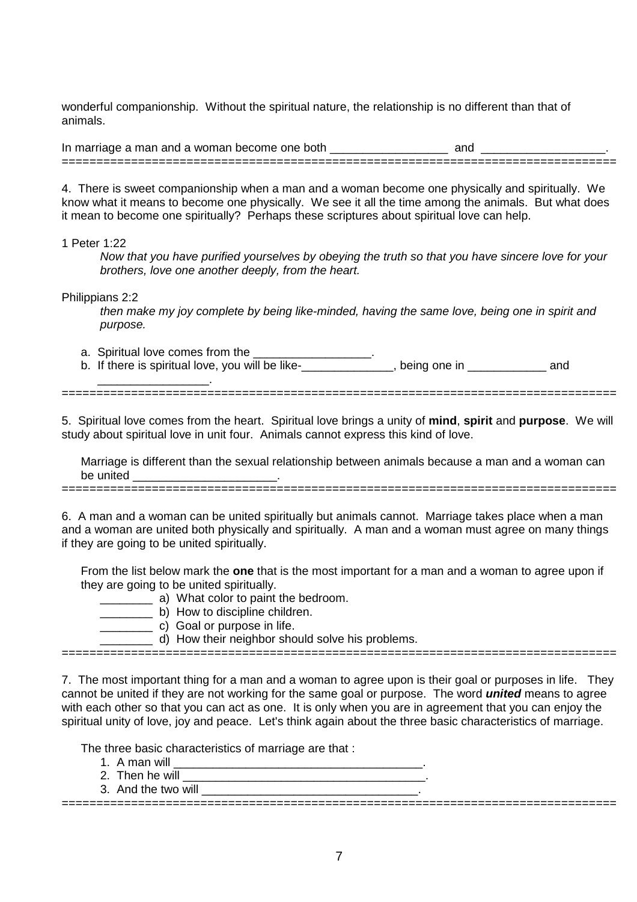wonderful companionship. Without the spiritual nature, the relationship is no different than that of animals.

In marriage a man and a woman become one both **the and and and and and and and and and** ================================================================================

4. There is sweet companionship when a man and a woman become one physically and spiritually. We know what it means to become one physically. We see it all the time among the animals. But what does it mean to become one spiritually? Perhaps these scriptures about spiritual love can help.

#### 1 Peter 1:22

Now that you have purified yourselves by obeying the truth so that you have sincere love for your brothers, love one another deeply, from the heart.

Philippians 2:2

then make my joy complete by being like-minded, having the same love, being one in spirit and purpose.

- a. Spiritual love comes from the
- b. If there is spiritual love, you will be like-<br>b. If there is spiritual love, you will be like-<br>  $\frac{1}{2}$  ,  $\frac{1}{2}$  ,  $\frac{1}{2}$  ,  $\frac{1}{2}$  ,  $\frac{1}{2}$  ,  $\frac{1}{2}$  ,  $\frac{1}{2}$  ,  $\frac{1}{2}$  ,  $\frac{1}{2}$  ,  $\frac{1}{2}$  ,  $\frac{1}{2}$  ,  $\frac{1}{2}$  ,  $\frac{1}{2}$  ,  $\frac{1}{2}$  ,  $\frac{1}{2}$  ,  $\frac{1}{2}$  ,  $\frac{1}{2}$  ,  $\frac{1}{2}$  ,  $\frac{1$

================================================================================

5. Spiritual love comes from the heart. Spiritual love brings a unity of **mind**, **spirit** and **purpose**. We will study about spiritual love in unit four. Animals cannot express this kind of love.

Marriage is different than the sexual relationship between animals because a man and a woman can be united

6. A man and a woman can be united spiritually but animals cannot. Marriage takes place when a man and a woman are united both physically and spiritually. A man and a woman must agree on many things if they are going to be united spiritually.

================================================================================

From the list below mark the **one** that is the most important for a man and a woman to agree upon if they are going to be united spiritually.

- \_\_\_\_\_\_\_\_ a) What color to paint the bedroom.
- \_\_\_\_\_\_\_\_ b) How to discipline children.
	- c) Goal or purpose in life.
	- \_\_\_\_\_\_\_\_ d) How their neighbor should solve his problems.

================================================================================

7. The most important thing for a man and a woman to agree upon is their goal or purposes in life. They cannot be united if they are not working for the same goal or purpose. The word **united** means to agree with each other so that you can act as one. It is only when you are in agreement that you can enjoy the spiritual unity of love, joy and peace. Let's think again about the three basic characteristics of marriage.

The three basic characteristics of marriage are that :

- 1. A man will  $\blacksquare$
- 2. Then he will
- 3. And the two will

================================================================================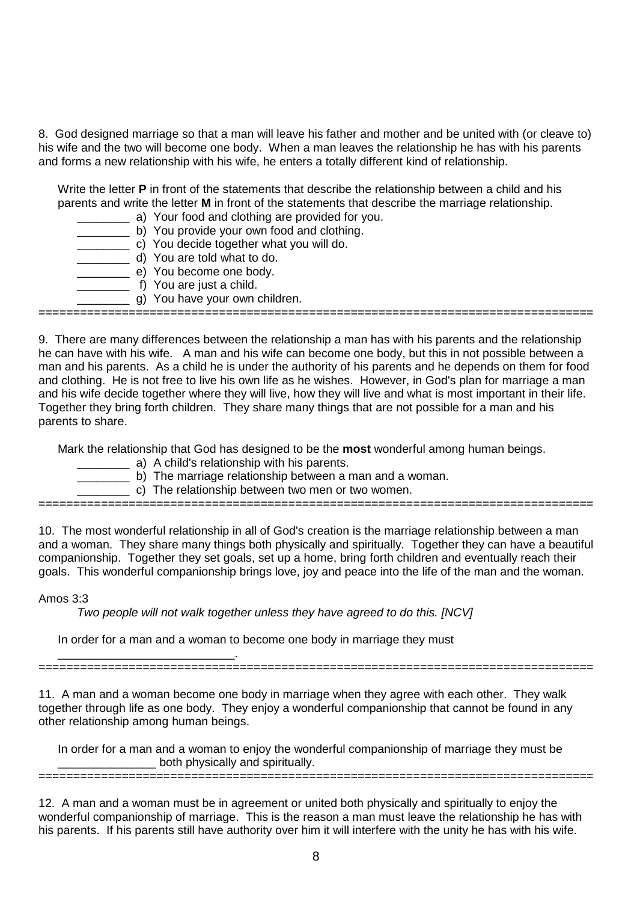8. God designed marriage so that a man will leave his father and mother and be united with (or cleave to) his wife and the two will become one body. When a man leaves the relationship he has with his parents and forms a new relationship with his wife, he enters a totally different kind of relationship.

Write the letter **P** in front of the statements that describe the relationship between a child and his parents and write the letter **M** in front of the statements that describe the marriage relationship.

- \_\_\_\_\_\_\_\_ a) Your food and clothing are provided for you.
- **\_\_\_\_\_\_\_\_\_** b) You provide your own food and clothing.
- c) You decide together what you will do.
- d) You are told what to do.
- e) You become one body.
- \_\_\_\_\_\_\_\_\_\_\_ f) You are just a child.
- g) You have your own children.

================================================================================

9. There are many differences between the relationship a man has with his parents and the relationship he can have with his wife. A man and his wife can become one body, but this in not possible between a man and his parents. As a child he is under the authority of his parents and he depends on them for food and clothing. He is not free to live his own life as he wishes. However, in God's plan for marriage a man and his wife decide together where they will live, how they will live and what is most important in their life. Together they bring forth children. They share many things that are not possible for a man and his parents to share.

Mark the relationship that God has designed to be the **most** wonderful among human beings.

- \_\_\_\_\_\_\_\_ a) A child's relationship with his parents.
- b) The marriage relationship between a man and a woman.
	- \_\_\_\_\_\_\_\_ c) The relationship between two men or two women.

================================================================================

10. The most wonderful relationship in all of God's creation is the marriage relationship between a man and a woman. They share many things both physically and spiritually. Together they can have a beautiful companionship. Together they set goals, set up a home, bring forth children and eventually reach their goals. This wonderful companionship brings love, joy and peace into the life of the man and the woman.

#### Amos 3:3

Two people will not walk together unless they have agreed to do this. [NCV]

In order for a man and a woman to become one body in marriage they must

\_\_\_\_\_\_\_\_\_\_\_\_\_\_\_\_\_\_\_\_\_\_\_\_\_\_\_. ================================================================================

11. A man and a woman become one body in marriage when they agree with each other. They walk together through life as one body. They enjoy a wonderful companionship that cannot be found in any other relationship among human beings.

In order for a man and a woman to enjoy the wonderful companionship of marriage they must be both physically and spiritually.

================================================================================

12. A man and a woman must be in agreement or united both physically and spiritually to enjoy the wonderful companionship of marriage. This is the reason a man must leave the relationship he has with his parents. If his parents still have authority over him it will interfere with the unity he has with his wife.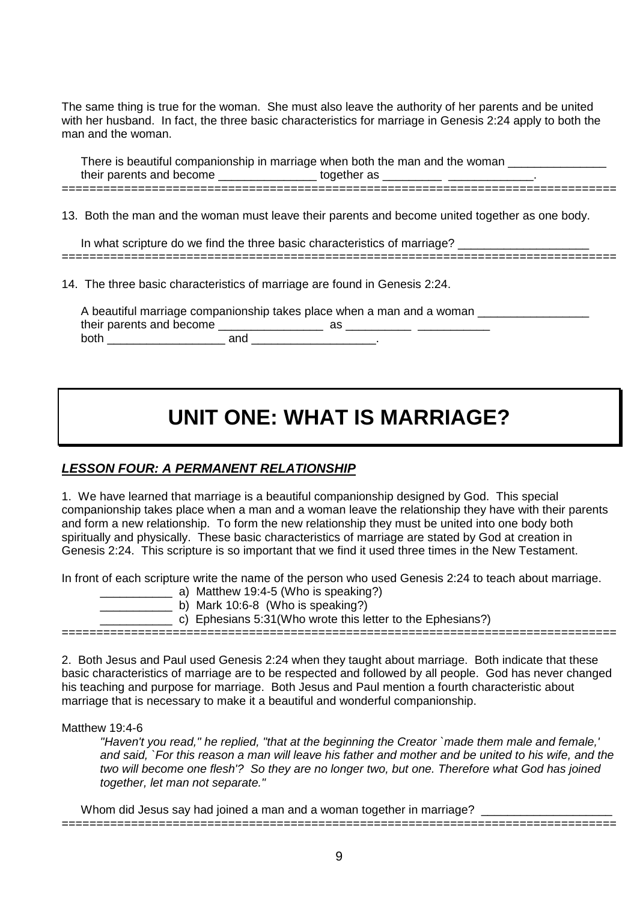The same thing is true for the woman. She must also leave the authority of her parents and be united with her husband. In fact, the three basic characteristics for marriage in Genesis 2:24 apply to both the man and the woman.

There is beautiful companionship in marriage when both the man and the woman their parents and become \_\_\_\_\_\_\_\_\_\_\_\_\_\_\_\_\_\_\_ together as \_\_\_\_\_\_\_\_\_\_\_\_\_\_\_\_\_\_\_\_\_\_\_ ================================================================================

13. Both the man and the woman must leave their parents and become united together as one body.

In what scripture do we find the three basic characteristics of marriage? \_\_\_\_\_\_\_ ================================================================================

14. The three basic characteristics of marriage are found in Genesis 2:24.

A beautiful marriage companionship takes place when a man and a woman their parents and become \_\_\_\_\_\_\_\_\_\_\_\_\_\_\_\_ as \_\_\_\_\_\_\_\_\_\_ \_\_\_\_\_\_\_\_\_\_\_ both \_\_\_\_\_\_\_\_\_\_\_\_\_\_\_\_\_\_ and \_\_\_\_\_\_\_\_\_\_\_\_\_\_\_\_\_\_\_.

# **UNIT ONE: WHAT IS MARRIAGE?**

## **LESSON FOUR: A PERMANENT RELATIONSHIP**

1. We have learned that marriage is a beautiful companionship designed by God. This special companionship takes place when a man and a woman leave the relationship they have with their parents and form a new relationship. To form the new relationship they must be united into one body both spiritually and physically. These basic characteristics of marriage are stated by God at creation in Genesis 2:24. This scripture is so important that we find it used three times in the New Testament.

In front of each scripture write the name of the person who used Genesis 2:24 to teach about marriage.

a) Matthew 19:4-5 (Who is speaking?)

b) Mark 10:6-8 (Who is speaking?)

\_\_\_\_\_\_\_\_\_\_\_ c) Ephesians 5:31(Who wrote this letter to the Ephesians?)

================================================================================

2. Both Jesus and Paul used Genesis 2:24 when they taught about marriage. Both indicate that these basic characteristics of marriage are to be respected and followed by all people. God has never changed his teaching and purpose for marriage. Both Jesus and Paul mention a fourth characteristic about marriage that is necessary to make it a beautiful and wonderful companionship.

#### Matthew 19:4-6

"Haven't you read," he replied, "that at the beginning the Creator `made them male and female,' and said, `For this reason a man will leave his father and mother and be united to his wife, and the two will become one flesh'? So they are no longer two, but one. Therefore what God has joined together, let man not separate."

Whom did Jesus say had joined a man and a woman together in marriage? ================================================================================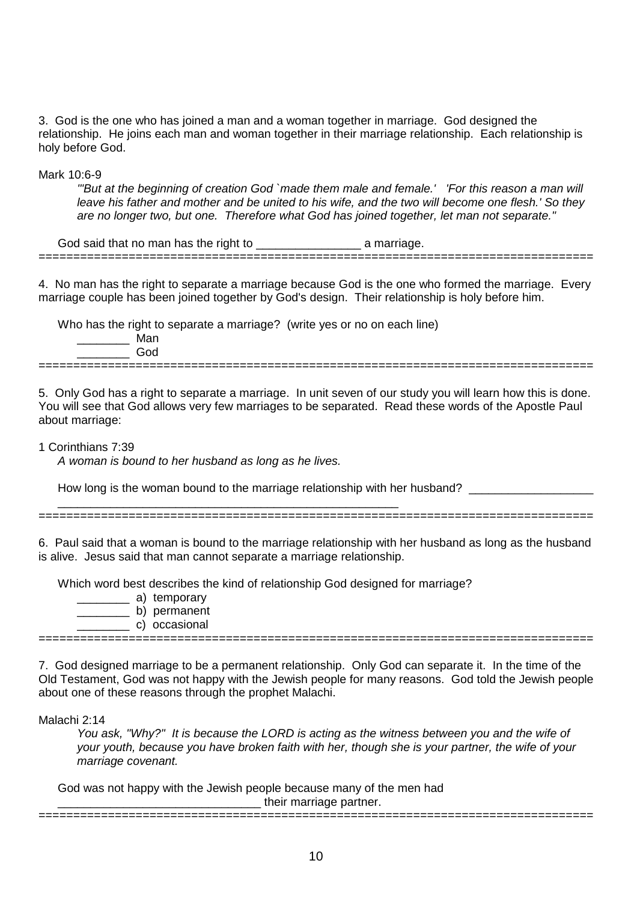3. God is the one who has joined a man and a woman together in marriage. God designed the relationship. He joins each man and woman together in their marriage relationship. Each relationship is holy before God.

Mark 10:6-9

'"But at the beginning of creation God `made them male and female.' 'For this reason a man will leave his father and mother and be united to his wife, and the two will become one flesh.' So they are no longer two, but one. Therefore what God has joined together, let man not separate."

God said that no man has the right to \_\_\_\_\_\_\_\_\_\_\_\_\_\_\_\_\_\_\_\_\_\_\_\_\_ a marriage. ================================================================================

4. No man has the right to separate a marriage because God is the one who formed the marriage. Every marriage couple has been joined together by God's design. Their relationship is holy before him.

Who has the right to separate a marriage? (write yes or no on each line) \_\_\_\_\_\_\_\_ Man \_\_\_\_\_\_\_\_ God ================================================================================

5. Only God has a right to separate a marriage. In unit seven of our study you will learn how this is done. You will see that God allows very few marriages to be separated. Read these words of the Apostle Paul about marriage:

1 Corinthians 7:39

A woman is bound to her husband as long as he lives.

\_\_\_\_\_\_\_\_\_\_\_\_\_\_\_\_\_\_\_\_\_\_\_\_\_\_\_\_\_\_\_\_\_\_\_\_\_\_\_\_\_\_\_\_\_\_\_\_\_\_\_\_

How long is the woman bound to the marriage relationship with her husband?

================================================================================

6. Paul said that a woman is bound to the marriage relationship with her husband as long as the husband is alive. Jesus said that man cannot separate a marriage relationship.

Which word best describes the kind of relationship God designed for marriage?

- \_\_\_\_\_\_\_\_ a) temporary
- \_\_\_\_\_\_\_\_ b) permanent
- \_\_\_\_\_\_\_\_ c) occasional ================================================================================

7. God designed marriage to be a permanent relationship. Only God can separate it. In the time of the Old Testament, God was not happy with the Jewish people for many reasons. God told the Jewish people about one of these reasons through the prophet Malachi.

Malachi 2:14

You ask, "Why?" It is because the LORD is acting as the witness between you and the wife of your youth, because you have broken faith with her, though she is your partner, the wife of your marriage covenant.

================================================================================

God was not happy with the Jewish people because many of the men had their marriage partner.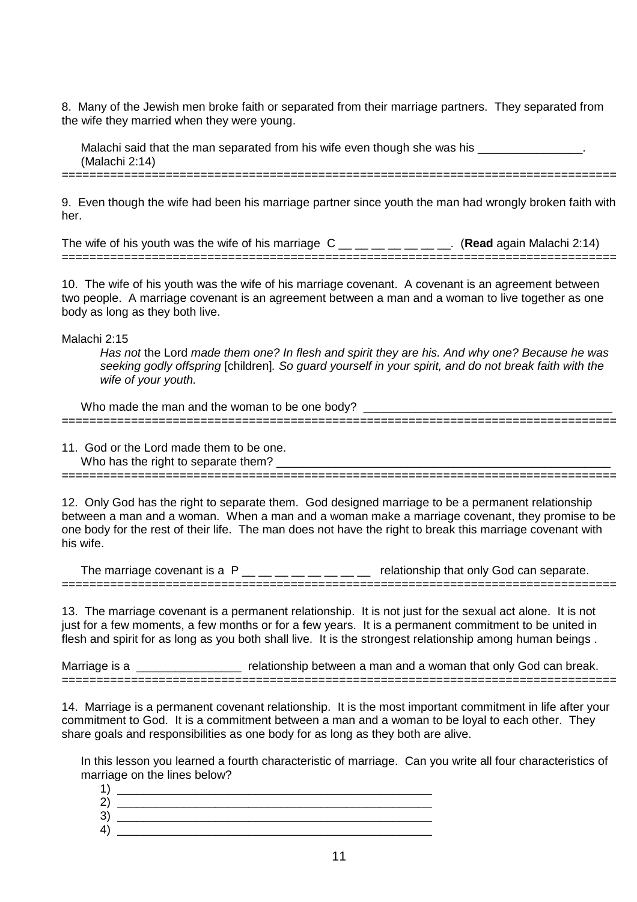8. Many of the Jewish men broke faith or separated from their marriage partners. They separated from the wife they married when they were young.

Malachi said that the man separated from his wife even though she was his  $\blacksquare$ (Malachi 2:14) ================================================================================

9. Even though the wife had been his marriage partner since youth the man had wrongly broken faith with her.

The wife of his youth was the wife of his marriage  $C_{\text{max}} = 1$ ,  $C_{\text{max}} = 1$ , (Read again Malachi 2:14) ================================================================================

10. The wife of his youth was the wife of his marriage covenant. A covenant is an agreement between two people. A marriage covenant is an agreement between a man and a woman to live together as one body as long as they both live.

Malachi 2:15

Has not the Lord made them one? In flesh and spirit they are his. And why one? Because he was seeking godly offspring [children]. So guard yourself in your spirit, and do not break faith with the wife of your youth.

Who made the man and the woman to be one body? ================================================================================

11. God or the Lord made them to be one. Who has the right to separate them? ================================================================================

12. Only God has the right to separate them. God designed marriage to be a permanent relationship between a man and a woman. When a man and a woman make a marriage covenant, they promise to be one body for the rest of their life. The man does not have the right to break this marriage covenant with his wife.

The marriage covenant is a  $P_$  \_\_ \_ \_ \_ \_ \_ \_ \_ \_ \_ relationship that only God can separate. ================================================================================

13. The marriage covenant is a permanent relationship. It is not just for the sexual act alone. It is not just for a few moments, a few months or for a few years. It is a permanent commitment to be united in flesh and spirit for as long as you both shall live. It is the strongest relationship among human beings .

Marriage is a **warrise and a man and a woman that only God can break.** ================================================================================

14. Marriage is a permanent covenant relationship. It is the most important commitment in life after your commitment to God. It is a commitment between a man and a woman to be loyal to each other. They share goals and responsibilities as one body for as long as they both are alive.

In this lesson you learned a fourth characteristic of marriage. Can you write all four characteristics of marriage on the lines below?

| 2<br>- 1 |  |
|----------|--|
|          |  |
|          |  |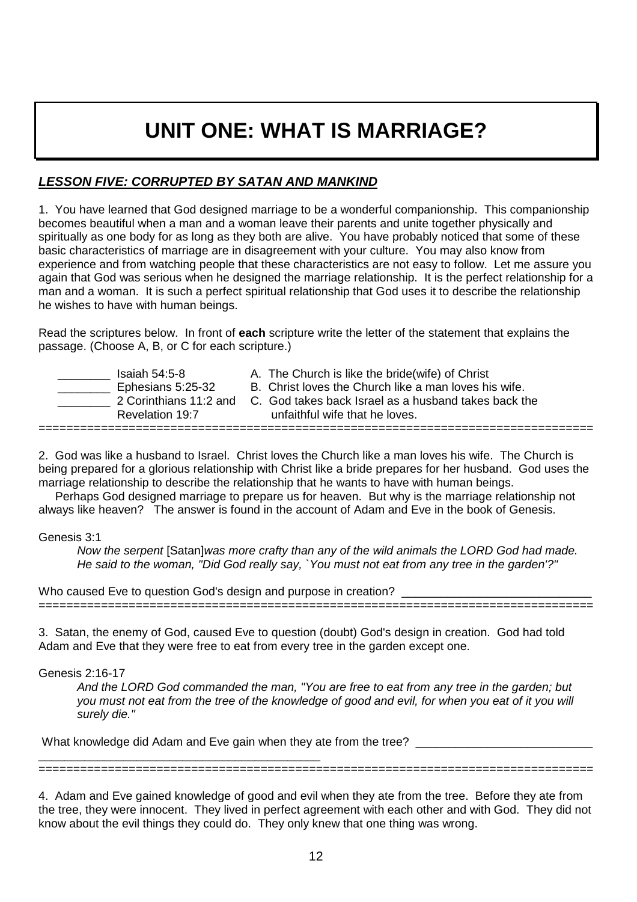# **UNIT ONE: WHAT IS MARRIAGE?**

### **LESSON FIVE: CORRUPTED BY SATAN AND MANKIND**

1. You have learned that God designed marriage to be a wonderful companionship. This companionship becomes beautiful when a man and a woman leave their parents and unite together physically and spiritually as one body for as long as they both are alive. You have probably noticed that some of these basic characteristics of marriage are in disagreement with your culture. You may also know from experience and from watching people that these characteristics are not easy to follow. Let me assure you again that God was serious when he designed the marriage relationship. It is the perfect relationship for a man and a woman. It is such a perfect spiritual relationship that God uses it to describe the relationship he wishes to have with human beings.

Read the scriptures below. In front of **each** scripture write the letter of the statement that explains the passage. (Choose A, B, or C for each scripture.)

Saiah 54:5-8 A. The Church is like the bride(wife) of Christ<br>Ephesians 5:25-32 B. Christ loves the Church like a man loves his ================================================================================

B. Christ loves the Church like a man loves his wife.

2 Corinthians 11:2 and C. God takes back Israel as a husband takes back the Revelation 19:7 unfaithful wife that he loves.

2. God was like a husband to Israel. Christ loves the Church like a man loves his wife. The Church is being prepared for a glorious relationship with Christ like a bride prepares for her husband. God uses the marriage relationship to describe the relationship that he wants to have with human beings.

 Perhaps God designed marriage to prepare us for heaven. But why is the marriage relationship not always like heaven? The answer is found in the account of Adam and Eve in the book of Genesis.

#### Genesis 3:1

Now the serpent [Satan]was more crafty than any of the wild animals the LORD God had made. He said to the woman, "Did God really say, `You must not eat from any tree in the garden'?"

Who caused Eve to question God's design and purpose in creation? ================================================================================

3. Satan, the enemy of God, caused Eve to question (doubt) God's design in creation. God had told Adam and Eve that they were free to eat from every tree in the garden except one.

Genesis 2:16-17

And the LORD God commanded the man, "You are free to eat from any tree in the garden; but you must not eat from the tree of the knowledge of good and evil, for when you eat of it you will surely die."

What knowledge did Adam and Eve gain when they ate from the tree?

\_\_\_\_\_\_\_\_\_\_\_\_\_\_\_\_\_\_\_\_\_\_\_\_\_\_\_\_\_\_\_\_\_\_\_\_\_\_\_\_\_\_\_ ================================================================================

4. Adam and Eve gained knowledge of good and evil when they ate from the tree. Before they ate from the tree, they were innocent. They lived in perfect agreement with each other and with God. They did not know about the evil things they could do. They only knew that one thing was wrong.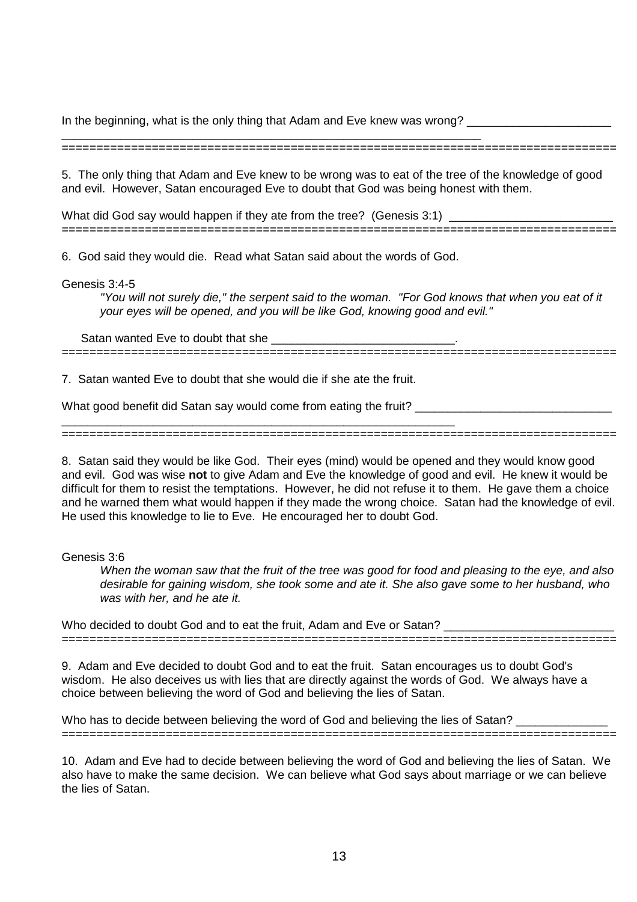In the beginning, what is the only thing that Adam and Eve knew was wrong? \_\_\_\_\_\_\_\_\_\_\_

\_\_\_\_\_\_\_\_\_\_\_\_\_\_\_\_\_\_\_\_\_\_\_\_\_\_\_\_\_\_\_\_\_\_\_\_\_\_\_\_\_\_\_\_\_\_\_\_\_\_\_\_\_\_\_\_\_\_\_\_\_\_\_\_ ================================================================================

5. The only thing that Adam and Eve knew to be wrong was to eat of the tree of the knowledge of good and evil. However, Satan encouraged Eve to doubt that God was being honest with them.

What did God say would happen if they ate from the tree? (Genesis 3:1) ================================================================================

6. God said they would die. Read what Satan said about the words of God.

Genesis 3:4-5

"You will not surely die," the serpent said to the woman. "For God knows that when you eat of it your eyes will be opened, and you will be like God, knowing good and evil."

Satan wanted Eve to doubt that she \_\_\_\_\_\_\_\_\_\_\_\_\_\_\_\_\_\_\_\_\_\_\_\_\_\_\_\_. ================================================================================

7. Satan wanted Eve to doubt that she would die if she ate the fruit.

What good benefit did Satan say would come from eating the fruit?

\_\_\_\_\_\_\_\_\_\_\_\_\_\_\_\_\_\_\_\_\_\_\_\_\_\_\_\_\_\_\_\_\_\_\_\_\_\_\_\_\_\_\_\_\_\_\_\_\_\_\_\_\_\_\_\_\_\_\_\_ ================================================================================

8. Satan said they would be like God. Their eyes (mind) would be opened and they would know good and evil. God was wise **not** to give Adam and Eve the knowledge of good and evil. He knew it would be difficult for them to resist the temptations. However, he did not refuse it to them. He gave them a choice and he warned them what would happen if they made the wrong choice. Satan had the knowledge of evil. He used this knowledge to lie to Eve. He encouraged her to doubt God.

Genesis 3:6

When the woman saw that the fruit of the tree was good for food and pleasing to the eye, and also desirable for gaining wisdom, she took some and ate it. She also gave some to her husband, who was with her, and he ate it.

Who decided to doubt God and to eat the fruit, Adam and Eve or Satan? ================================================================================

9. Adam and Eve decided to doubt God and to eat the fruit. Satan encourages us to doubt God's wisdom. He also deceives us with lies that are directly against the words of God. We always have a choice between believing the word of God and believing the lies of Satan.

Who has to decide between believing the word of God and believing the lies of Satan? ================================================================================

10. Adam and Eve had to decide between believing the word of God and believing the lies of Satan. We also have to make the same decision. We can believe what God says about marriage or we can believe the lies of Satan.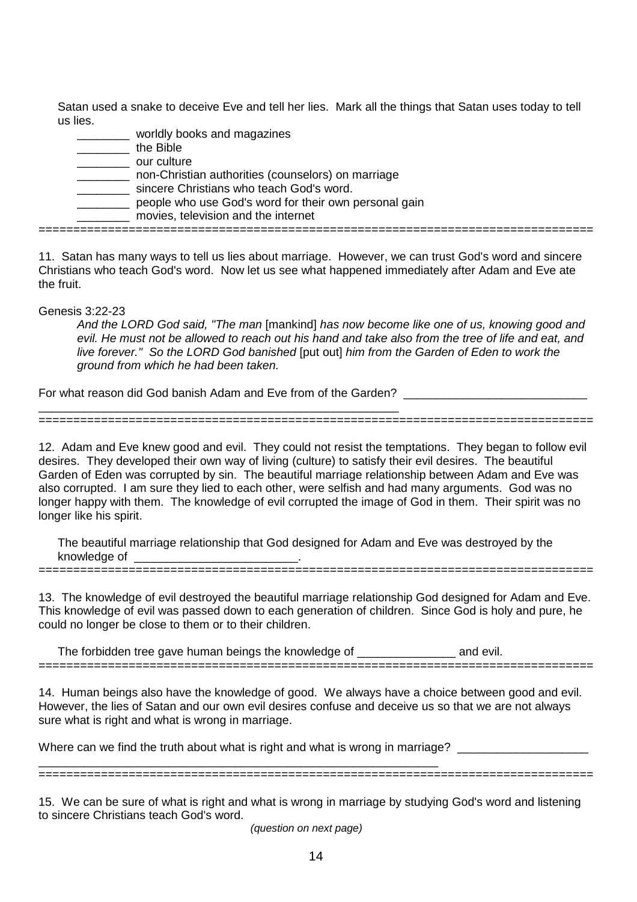Satan used a snake to deceive Eve and tell her lies. Mark all the things that Satan uses today to tell us lies.

\_\_\_\_\_\_\_\_ worldly books and magazines \_\_\_\_\_\_\_\_ the Bible \_\_\_\_\_\_\_\_ our culture \_\_\_\_\_\_\_\_ non-Christian authorities (counselors) on marriage **\_\_\_\_\_\_\_\_\_** sincere Christians who teach God's word. \_\_\_\_\_\_\_\_ people who use God's word for their own personal gain \_\_\_\_\_\_\_\_ movies, television and the internet ================================================================================

11. Satan has many ways to tell us lies about marriage. However, we can trust God's word and sincere Christians who teach God's word. Now let us see what happened immediately after Adam and Eve ate the fruit.

Genesis 3:22-23

And the LORD God said, "The man [mankind] has now become like one of us, knowing good and evil. He must not be allowed to reach out his hand and take also from the tree of life and eat, and live forever." So the LORD God banished [put out] him from the Garden of Eden to work the ground from which he had been taken.

For what reason did God banish Adam and Eve from of the Garden? \_\_\_\_\_\_\_\_\_\_\_\_\_\_\_\_\_\_\_\_\_\_\_\_\_\_\_\_\_\_\_\_\_\_\_\_\_\_\_\_\_\_\_\_\_\_\_\_\_\_\_\_\_\_\_

12. Adam and Eve knew good and evil. They could not resist the temptations. They began to follow evil desires. They developed their own way of living (culture) to satisfy their evil desires. The beautiful Garden of Eden was corrupted by sin. The beautiful marriage relationship between Adam and Eve was also corrupted. I am sure they lied to each other, were selfish and had many arguments. God was no longer happy with them. The knowledge of evil corrupted the image of God in them. Their spirit was no longer like his spirit.

================================================================================

The beautiful marriage relationship that God designed for Adam and Eve was destroyed by the knowledge of  $\blacksquare$ ================================================================================

13. The knowledge of evil destroyed the beautiful marriage relationship God designed for Adam and Eve. This knowledge of evil was passed down to each generation of children. Since God is holy and pure, he could no longer be close to them or to their children.

The forbidden tree gave human beings the knowledge of \_\_\_\_\_\_\_\_\_\_\_\_\_\_\_ and evil. ================================================================================

14. Human beings also have the knowledge of good. We always have a choice between good and evil. However, the lies of Satan and our own evil desires confuse and deceive us so that we are not always sure what is right and what is wrong in marriage.

Where can we find the truth about what is right and what is wrong in marriage? \_\_\_\_\_\_\_\_\_\_\_\_\_\_\_\_\_\_\_\_\_\_\_\_\_\_\_\_\_\_\_\_\_\_\_\_\_\_\_\_\_\_\_\_\_\_\_\_\_\_\_\_\_\_\_\_\_\_\_\_\_

15. We can be sure of what is right and what is wrong in marriage by studying God's word and listening to sincere Christians teach God's word.

================================================================================

(question on next page)